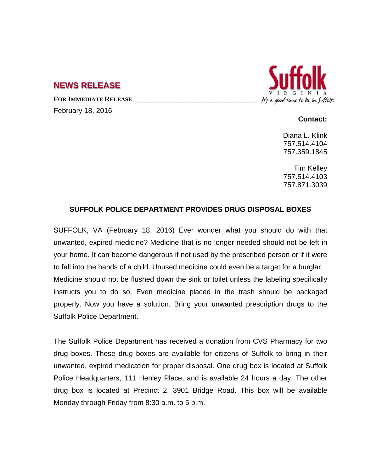## **NEWS RELEASE**

FOR **IMMEDIATE RELEASE** 

February 18, 2016



## **Contact:**

Diana L. Klink 757.514.4104 757.359.1845

Tim Kelley 757.514.4103 757.871.3039

## **SUFFOLK POLICE DEPARTMENT PROVIDES DRUG DISPOSAL BOXES**

SUFFOLK, VA (February 18, 2016) Ever wonder what you should do with that unwanted, expired medicine? Medicine that is no longer needed should not be left in your home. It can become dangerous if not used by the prescribed person or if it were to fall into the hands of a child. Unused medicine could even be a target for a burglar. Medicine should not be flushed down the sink or toilet unless the labeling specifically instructs you to do so. Even medicine placed in the trash should be packaged properly. Now you have a solution. Bring your unwanted prescription drugs to the Suffolk Police Department.

The Suffolk Police Department has received a donation from CVS Pharmacy for two drug boxes. These drug boxes are available for citizens of Suffolk to bring in their unwanted, expired medication for proper disposal. One drug box is located at Suffolk Police Headquarters, 111 Henley Place, and is available 24 hours a day. The other drug box is located at Precinct 2, 3901 Bridge Road. This box will be available Monday through Friday from 8:30 a.m. to 5 p.m.